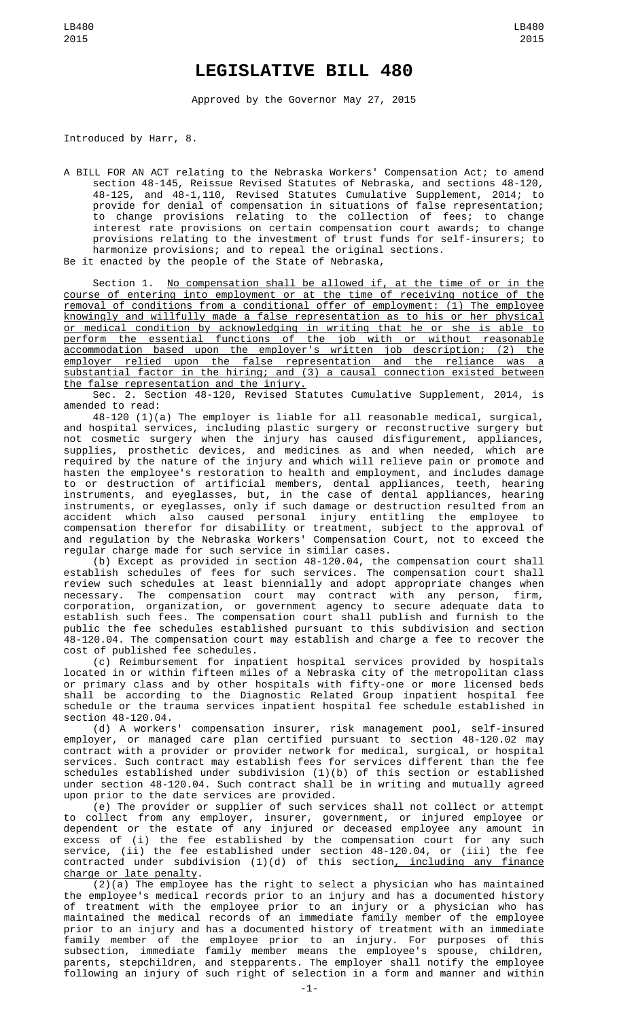## **LEGISLATIVE BILL 480**

Approved by the Governor May 27, 2015

Introduced by Harr, 8.

A BILL FOR AN ACT relating to the Nebraska Workers' Compensation Act; to amend section 48-145, Reissue Revised Statutes of Nebraska, and sections 48-120, 48-125, and 48-1,110, Revised Statutes Cumulative Supplement, 2014; to provide for denial of compensation in situations of false representation; to change provisions relating to the collection of fees; to change interest rate provisions on certain compensation court awards; to change provisions relating to the investment of trust funds for self-insurers; to harmonize provisions; and to repeal the original sections. Be it enacted by the people of the State of Nebraska,

Section 1. No compensation shall be allowed if, at the time of or in the course of entering into employment or at the time of receiving notice of the removal of conditions from a conditional offer of employment: (1) The employee knowingly and willfully made a false representation as to his or her physical or medical condition by acknowledging in writing that he or she is able to perform the essential functions of the job with or without reasonable accommodation based upon the employer's written job description; (2) the employer relied upon the false representation and the reliance was a substantial factor in the hiring; and (3) a causal connection existed between the false representation and the injury.

Sec. 2. Section 48-120, Revised Statutes Cumulative Supplement, 2014, is amended to read:

48-120 (1)(a) The employer is liable for all reasonable medical, surgical, and hospital services, including plastic surgery or reconstructive surgery but not cosmetic surgery when the injury has caused disfigurement, appliances, supplies, prosthetic devices, and medicines as and when needed, which are required by the nature of the injury and which will relieve pain or promote and hasten the employee's restoration to health and employment, and includes damage to or destruction of artificial members, dental appliances, teeth, hearing instruments, and eyeglasses, but, in the case of dental appliances, hearing instruments, or eyeglasses, only if such damage or destruction resulted from an accident which also caused personal injury entitling the employee to compensation therefor for disability or treatment, subject to the approval of and regulation by the Nebraska Workers' Compensation Court, not to exceed the regular charge made for such service in similar cases.

(b) Except as provided in section 48-120.04, the compensation court shall establish schedules of fees for such services. The compensation court shall review such schedules at least biennially and adopt appropriate changes when necessary. The compensation court may contract with any person, firm, corporation, organization, or government agency to secure adequate data to establish such fees. The compensation court shall publish and furnish to the public the fee schedules established pursuant to this subdivision and section 48-120.04. The compensation court may establish and charge a fee to recover the cost of published fee schedules.

(c) Reimbursement for inpatient hospital services provided by hospitals located in or within fifteen miles of a Nebraska city of the metropolitan class or primary class and by other hospitals with fifty-one or more licensed beds shall be according to the Diagnostic Related Group inpatient hospital fee schedule or the trauma services inpatient hospital fee schedule established in section 48-120.04.

(d) A workers' compensation insurer, risk management pool, self-insured employer, or managed care plan certified pursuant to section 48-120.02 may contract with a provider or provider network for medical, surgical, or hospital services. Such contract may establish fees for services different than the fee schedules established under subdivision (1)(b) of this section or established under section 48-120.04. Such contract shall be in writing and mutually agreed upon prior to the date services are provided.

(e) The provider or supplier of such services shall not collect or attempt to collect from any employer, insurer, government, or injured employee or dependent or the estate of any injured or deceased employee any amount in excess of (i) the fee established by the compensation court for any such service, (ii) the fee established under section 48-120.04, or (iii) the fee contracted under subdivision (1)(d) of this section<u>, including any finance</u> charge or late penalty.

(2)(a) The employee has the right to select a physician who has maintained the employee's medical records prior to an injury and has a documented history of treatment with the employee prior to an injury or a physician who has maintained the medical records of an immediate family member of the employee prior to an injury and has a documented history of treatment with an immediate family member of the employee prior to an injury. For purposes of this subsection, immediate family member means the employee's spouse, children, parents, stepchildren, and stepparents. The employer shall notify the employee following an injury of such right of selection in a form and manner and within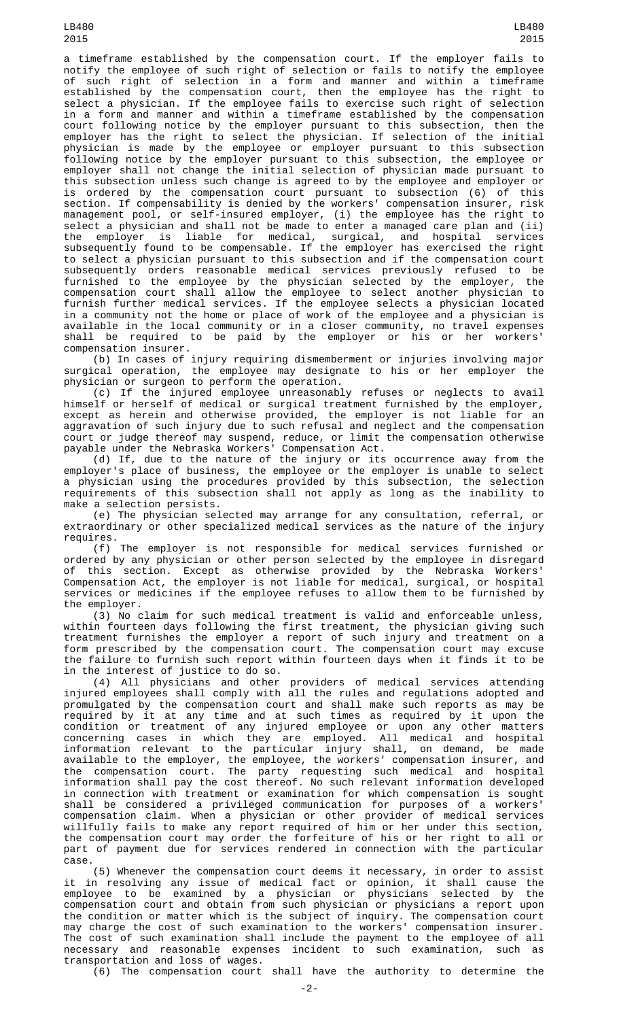LB480 2015

a timeframe established by the compensation court. If the employer fails to notify the employee of such right of selection or fails to notify the employee of such right of selection in a form and manner and within a timeframe established by the compensation court, then the employee has the right to select a physician. If the employee fails to exercise such right of selection in a form and manner and within a timeframe established by the compensation court following notice by the employer pursuant to this subsection, then the employer has the right to select the physician. If selection of the initial physician is made by the employee or employer pursuant to this subsection following notice by the employer pursuant to this subsection, the employee or employer shall not change the initial selection of physician made pursuant to this subsection unless such change is agreed to by the employee and employer or is ordered by the compensation court pursuant to subsection (6) of this section. If compensability is denied by the workers' compensation insurer, risk management pool, or self-insured employer, (i) the employee has the right to select a physician and shall not be made to enter a managed care plan and (ii) the employer is liable for medical, surgical, and hospital services subsequently found to be compensable. If the employer has exercised the right to select a physician pursuant to this subsection and if the compensation court subsequently orders reasonable medical services previously refused to be furnished to the employee by the physician selected by the employer, the compensation court shall allow the employee to select another physician to furnish further medical services. If the employee selects a physician located in a community not the home or place of work of the employee and a physician is available in the local community or in a closer community, no travel expenses shall be required to be paid by the employer or his or her workers' compensation insurer.

(b) In cases of injury requiring dismemberment or injuries involving major surgical operation, the employee may designate to his or her employer the physician or surgeon to perform the operation.

(c) If the injured employee unreasonably refuses or neglects to avail himself or herself of medical or surgical treatment furnished by the employer, except as herein and otherwise provided, the employer is not liable for an aggravation of such injury due to such refusal and neglect and the compensation court or judge thereof may suspend, reduce, or limit the compensation otherwise payable under the Nebraska Workers' Compensation Act.

(d) If, due to the nature of the injury or its occurrence away from the employer's place of business, the employee or the employer is unable to select a physician using the procedures provided by this subsection, the selection requirements of this subsection shall not apply as long as the inability to make a selection persists.

(e) The physician selected may arrange for any consultation, referral, or extraordinary or other specialized medical services as the nature of the injury requires.

(f) The employer is not responsible for medical services furnished or ordered by any physician or other person selected by the employee in disregard of this section. Except as otherwise provided by the Nebraska Workers' Compensation Act, the employer is not liable for medical, surgical, or hospital services or medicines if the employee refuses to allow them to be furnished by the employer.

(3) No claim for such medical treatment is valid and enforceable unless, within fourteen days following the first treatment, the physician giving such treatment furnishes the employer a report of such injury and treatment on a form prescribed by the compensation court. The compensation court may excuse the failure to furnish such report within fourteen days when it finds it to be in the interest of justice to do so.

(4) All physicians and other providers of medical services attending<br>injured employees shall comply with all the rules and regulations adopted and injured employees shall comply with all the rules and regulations adopted and promulgated by the compensation court and shall make such reports as may be required by it at any time and at such times as required by it upon the condition or treatment of any injured employee or upon any other matters concerning cases in which they are employed. All medical and hospital information relevant to the particular injury shall, on demand, be made available to the employer, the employee, the workers' compensation insurer, and the compensation court. The party requesting such medical and hospital information shall pay the cost thereof. No such relevant information developed in connection with treatment or examination for which compensation is sought shall be considered a privileged communication for purposes of a workers' compensation claim. When a physician or other provider of medical services willfully fails to make any report required of him or her under this section, the compensation court may order the forfeiture of his or her right to all or part of payment due for services rendered in connection with the particular case.

(5) Whenever the compensation court deems it necessary, in order to assist it in resolving any issue of medical fact or opinion, it shall cause the employee to be examined by a physician or physicians selected by the compensation court and obtain from such physician or physicians a report upon the condition or matter which is the subject of inquiry. The compensation court may charge the cost of such examination to the workers' compensation insurer. The cost of such examination shall include the payment to the employee of all necessary and reasonable expenses incident to such examination, such as transportation and loss of wages.

(6) The compensation court shall have the authority to determine the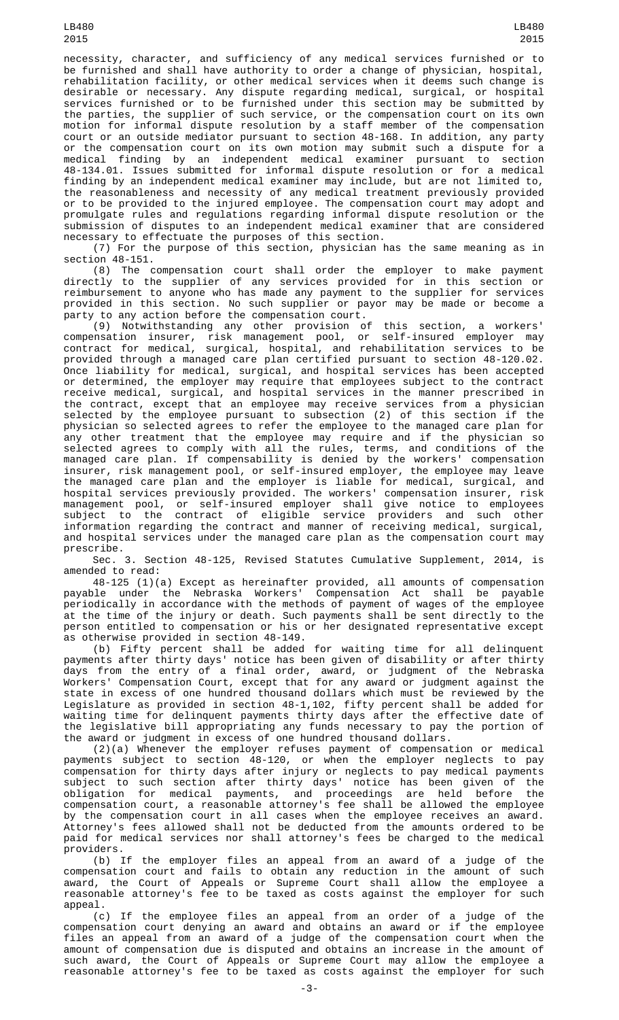LB480 2015

necessity, character, and sufficiency of any medical services furnished or to be furnished and shall have authority to order a change of physician, hospital, rehabilitation facility, or other medical services when it deems such change is desirable or necessary. Any dispute regarding medical, surgical, or hospital services furnished or to be furnished under this section may be submitted by the parties, the supplier of such service, or the compensation court on its own motion for informal dispute resolution by a staff member of the compensation court or an outside mediator pursuant to section 48-168. In addition, any party or the compensation court on its own motion may submit such a dispute for a medical finding by an independent medical examiner pursuant to section 48-134.01. Issues submitted for informal dispute resolution or for a medical finding by an independent medical examiner may include, but are not limited to, the reasonableness and necessity of any medical treatment previously provided or to be provided to the injured employee. The compensation court may adopt and promulgate rules and regulations regarding informal dispute resolution or the submission of disputes to an independent medical examiner that are considered necessary to effectuate the purposes of this section.

(7) For the purpose of this section, physician has the same meaning as in section 48-151.

(8) The compensation court shall order the employer to make payment directly to the supplier of any services provided for in this section or reimbursement to anyone who has made any payment to the supplier for services provided in this section. No such supplier or payor may be made or become a party to any action before the compensation court.

(9) Notwithstanding any other provision of this section, a workers' compensation insurer, risk management pool, or self-insured employer may contract for medical, surgical, hospital, and rehabilitation services to be provided through a managed care plan certified pursuant to section 48-120.02. Once liability for medical, surgical, and hospital services has been accepted or determined, the employer may require that employees subject to the contract receive medical, surgical, and hospital services in the manner prescribed in the contract, except that an employee may receive services from a physician selected by the employee pursuant to subsection (2) of this section if the physician so selected agrees to refer the employee to the managed care plan for any other treatment that the employee may require and if the physician so selected agrees to comply with all the rules, terms, and conditions of the managed care plan. If compensability is denied by the workers' compensation insurer, risk management pool, or self-insured employer, the employee may leave the managed care plan and the employer is liable for medical, surgical, and hospital services previously provided. The workers' compensation insurer, risk management pool, or self-insured employer shall give notice to employees subject to the contract of eligible service providers and such other information regarding the contract and manner of receiving medical, surgical, and hospital services under the managed care plan as the compensation court may prescribe.

Sec. 3. Section 48-125, Revised Statutes Cumulative Supplement, 2014, is amended to read:

48-125 (1)(a) Except as hereinafter provided, all amounts of compensation payable under the Nebraska Workers' Compensation Act shall be payable periodically in accordance with the methods of payment of wages of the employee at the time of the injury or death. Such payments shall be sent directly to the person entitled to compensation or his or her designated representative except as otherwise provided in section 48-149.

(b) Fifty percent shall be added for waiting time for all delinquent payments after thirty days' notice has been given of disability or after thirty days from the entry of a final order, award, or judgment of the Nebraska Workers' Compensation Court, except that for any award or judgment against the state in excess of one hundred thousand dollars which must be reviewed by the Legislature as provided in section 48-1,102, fifty percent shall be added for waiting time for delinquent payments thirty days after the effective date of the legislative bill appropriating any funds necessary to pay the portion of the award or judgment in excess of one hundred thousand dollars.

(2)(a) Whenever the employer refuses payment of compensation or medical payments subject to section 48-120, or when the employer neglects to pay compensation for thirty days after injury or neglects to pay medical payments subject to such section after thirty days' notice has been given of the obligation for medical payments, and proceedings are held before the compensation court, a reasonable attorney's fee shall be allowed the employee by the compensation court in all cases when the employee receives an award. Attorney's fees allowed shall not be deducted from the amounts ordered to be paid for medical services nor shall attorney's fees be charged to the medical providers.

(b) If the employer files an appeal from an award of a judge of the compensation court and fails to obtain any reduction in the amount of such award, the Court of Appeals or Supreme Court shall allow the employee a reasonable attorney's fee to be taxed as costs against the employer for such appeal.

(c) If the employee files an appeal from an order of a judge of the compensation court denying an award and obtains an award or if the employee files an appeal from an award of a judge of the compensation court when the amount of compensation due is disputed and obtains an increase in the amount of such award, the Court of Appeals or Supreme Court may allow the employee a reasonable attorney's fee to be taxed as costs against the employer for such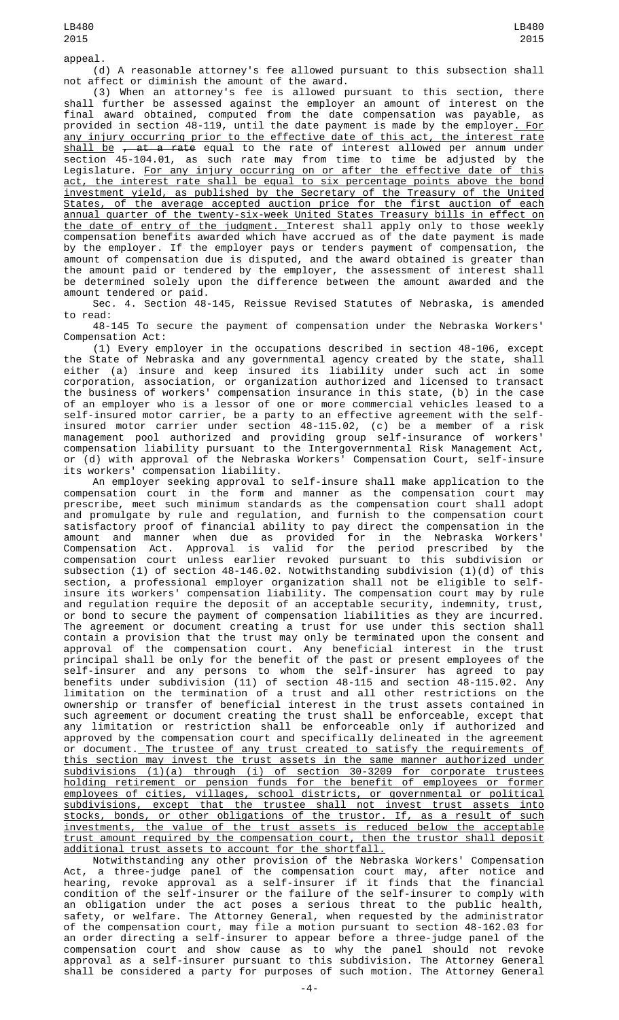appeal.

(d) A reasonable attorney's fee allowed pursuant to this subsection shall not affect or diminish the amount of the award.

(3) When an attorney's fee is allowed pursuant to this section, there shall further be assessed against the employer an amount of interest on the final award obtained, computed from the date compensation was payable, as provided in section 48-119, until the date payment is made by the employer<u>. For</u> any injury occurring prior to the effective date of this act, the interest rate <u>shall be</u> <del>, at a rate</del> equal to the rate of interest allowed per annum under section 45-104.01, as such rate may from time to time be adjusted by the Legislature. <u>For any injury occurring on or after the effective date of this</u> act, the interest rate shall be equal to six percentage points above the bond investment yield, as published by the Secretary of the Treasury of the United States, of the average accepted auction price for the first auction of each annual quarter of the twenty-six-week United States Treasury bills in effect on the date of entry of the judgment. Interest shall apply only to those weekly compensation benefits awarded which have accrued as of the date payment is made by the employer. If the employer pays or tenders payment of compensation, the amount of compensation due is disputed, and the award obtained is greater than the amount paid or tendered by the employer, the assessment of interest shall be determined solely upon the difference between the amount awarded and the amount tendered or paid.

Sec. 4. Section 48-145, Reissue Revised Statutes of Nebraska, is amended to read:

48-145 To secure the payment of compensation under the Nebraska Workers' Compensation Act:

(1) Every employer in the occupations described in section 48-106, except the State of Nebraska and any governmental agency created by the state, shall either (a) insure and keep insured its liability under such act in some corporation, association, or organization authorized and licensed to transact the business of workers' compensation insurance in this state, (b) in the case of an employer who is a lessor of one or more commercial vehicles leased to a self-insured motor carrier, be a party to an effective agreement with the selfinsured motor carrier under section 48-115.02, (c) be a member of a risk management pool authorized and providing group self-insurance of workers' compensation liability pursuant to the Intergovernmental Risk Management Act, or (d) with approval of the Nebraska Workers' Compensation Court, self-insure its workers' compensation liability.

An employer seeking approval to self-insure shall make application to the<br>compensation court in the form and manner as the compensation court may compensation court in the form and manner as the compensation court may prescribe, meet such minimum standards as the compensation court shall adopt and promulgate by rule and regulation, and furnish to the compensation court satisfactory proof of financial ability to pay direct the compensation in the amount and manner when due as provided for in the Nebraska Workers' Compensation Act. Approval is valid for the period prescribed by the compensation court unless earlier revoked pursuant to this subdivision or subsection (1) of section 48-146.02. Notwithstanding subdivision (1)(d) of this section, a professional employer organization shall not be eligible to selfinsure its workers' compensation liability. The compensation court may by rule and regulation require the deposit of an acceptable security, indemnity, trust, or bond to secure the payment of compensation liabilities as they are incurred. The agreement or document creating a trust for use under this section shall contain a provision that the trust may only be terminated upon the consent and approval of the compensation court. Any beneficial interest in the trust principal shall be only for the benefit of the past or present employees of the self-insurer and any persons to whom the self-insurer has agreed to pay benefits under subdivision (11) of section 48-115 and section 48-115.02. Any limitation on the termination of a trust and all other restrictions on the ownership or transfer of beneficial interest in the trust assets contained in such agreement or document creating the trust shall be enforceable, except that any limitation or restriction shall be enforceable only if authorized and approved by the compensation court and specifically delineated in the agreement or document.<u> The trustee of any trust created to satisfy the requirements of</u> this section may invest the trust assets in the same manner authorized under subdivisions (1)(a) through (i) of section 30-3209 for corporate trustees holding retirement or pension funds for the benefit of employees or former employees of cities, villages, school districts, or governmental or political subdivisions, except that the trustee shall not invest trust assets into stocks, bonds, or other obligations of the trustor. If, as a result of such investments, the value of the trust assets is reduced below the acceptable trust amount required by the compensation court, then the trustor shall deposit additional trust assets to account for the shortfall.

Notwithstanding any other provision of the Nebraska Workers' Compensation Act, a three-judge panel of the compensation court may, after notice and hearing, revoke approval as a self-insurer if it finds that the financial condition of the self-insurer or the failure of the self-insurer to comply with an obligation under the act poses a serious threat to the public health, safety, or welfare. The Attorney General, when requested by the administrator of the compensation court, may file a motion pursuant to section 48-162.03 for an order directing a self-insurer to appear before a three-judge panel of the compensation court and show cause as to why the panel should not revoke approval as a self-insurer pursuant to this subdivision. The Attorney General shall be considered a party for purposes of such motion. The Attorney General